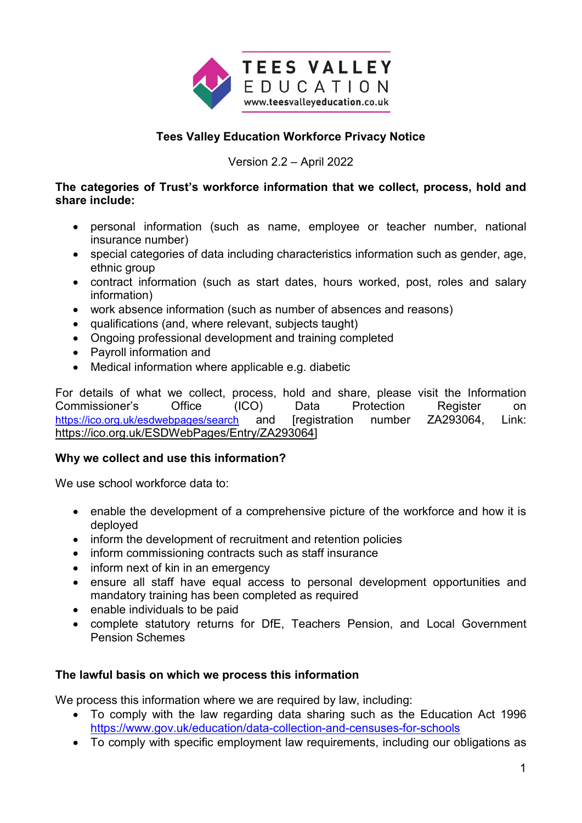

# **Tees Valley Education Workforce Privacy Notice**

Version 2.2 – April 2022

### **The categories of Trust's workforce information that we collect, process, hold and share include:**

- personal information (such as name, employee or teacher number, national insurance number)
- special categories of data including characteristics information such as gender, age, ethnic group
- contract information (such as start dates, hours worked, post, roles and salary information)
- work absence information (such as number of absences and reasons)
- qualifications (and, where relevant, subjects taught)
- Ongoing professional development and training completed
- Payroll information and
- Medical information where applicable e.g. diabetic

For details of what we collect, process, hold and share, please visit the Information Commissioner's Office (ICO) Data Protection Register on <https://ico.org.uk/esdwebpages/search> and [registration number ZA293064, Link: [https://ico.org.uk/ESDWebPages/Entry/ZA293064\]](https://ico.org.uk/ESDWebPages/Entry/ZA293064)

## **Why we collect and use this information?**

We use school workforce data to:

- enable the development of a comprehensive picture of the workforce and how it is deployed
- inform the development of recruitment and retention policies
- inform commissioning contracts such as staff insurance
- inform next of kin in an emergency
- ensure all staff have equal access to personal development opportunities and mandatory training has been completed as required
- enable individuals to be paid
- complete statutory returns for DfE, Teachers Pension, and Local Government Pension Schemes

## **The lawful basis on which we process this information**

We process this information where we are required by law, including:

- To comply with the law regarding data sharing such as the Education Act 1996 <https://www.gov.uk/education/data-collection-and-censuses-for-schools>
- To comply with specific employment law requirements, including our obligations as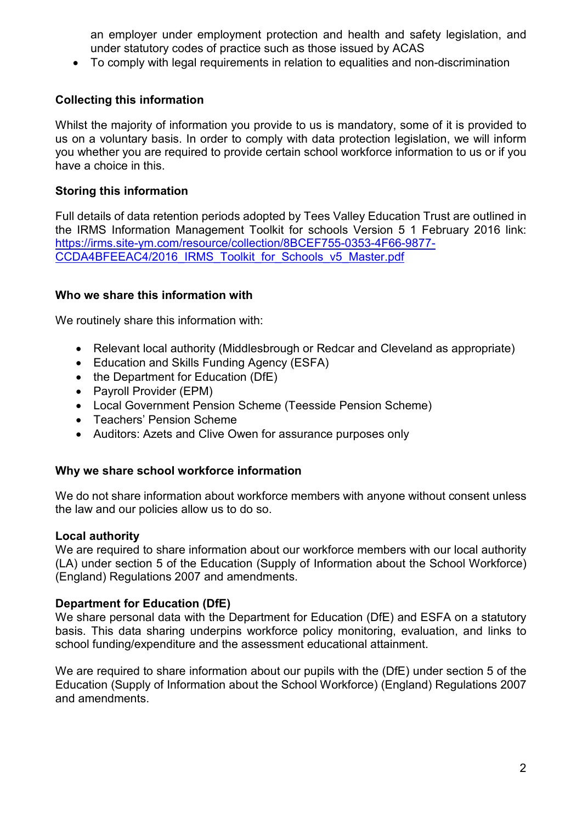an employer under employment protection and health and safety legislation, and under statutory codes of practice such as those issued by ACAS

• To comply with legal requirements in relation to equalities and non-discrimination

## **Collecting this information**

Whilst the majority of information you provide to us is mandatory, some of it is provided to us on a voluntary basis. In order to comply with data protection legislation, we will inform you whether you are required to provide certain school workforce information to us or if you have a choice in this.

### **Storing this information**

Full details of data retention periods adopted by Tees Valley Education Trust are outlined in the IRMS Information Management Toolkit for schools Version 5 1 February 2016 link: [https://irms.site-ym.com/resource/collection/8BCEF755-0353-4F66-9877-](https://irms.site-ym.com/resource/collection/8BCEF755-0353-4F66-9877-CCDA4BFEEAC4/2016_IRMS_Toolkit_for_Schools_v5_Master.pdf) [CCDA4BFEEAC4/2016\\_IRMS\\_Toolkit\\_for\\_Schools\\_v5\\_Master.pdf](https://irms.site-ym.com/resource/collection/8BCEF755-0353-4F66-9877-CCDA4BFEEAC4/2016_IRMS_Toolkit_for_Schools_v5_Master.pdf)

### **Who we share this information with**

We routinely share this information with:

- Relevant local authority (Middlesbrough or Redcar and Cleveland as appropriate)
- Education and Skills Funding Agency (ESFA)
- the Department for Education (DfE)
- Payroll Provider (EPM)
- Local Government Pension Scheme (Teesside Pension Scheme)
- Teachers' Pension Scheme
- Auditors: Azets and Clive Owen for assurance purposes only

### **Why we share school workforce information**

We do not share information about workforce members with anyone without consent unless the law and our policies allow us to do so.

#### **Local authority**

We are required to share information about our workforce members with our local authority (LA) under section 5 of the Education (Supply of Information about the School Workforce) (England) Regulations 2007 and amendments.

### **Department for Education (DfE)**

We share personal data with the Department for Education (DfE) and ESFA on a statutory basis. This data sharing underpins workforce policy monitoring, evaluation, and links to school funding/expenditure and the assessment educational attainment.

We are required to share information about our pupils with the (DfE) under section 5 of the Education (Supply of Information about the School Workforce) (England) Regulations 2007 and amendments.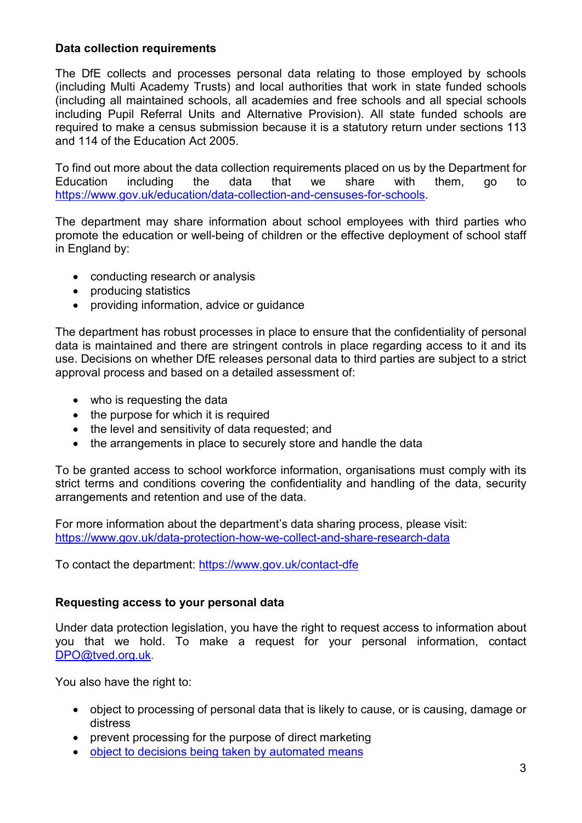### **Data collection requirements**

The DfE collects and processes personal data relating to those employed by schools (including Multi Academy Trusts) and local authorities that work in state funded schools (including all maintained schools, all academies and free schools and all special schools including Pupil Referral Units and Alternative Provision). All state funded schools are required to make a census submission because it is a statutory return under sections 113 and 114 of the Education Act 2005.

To find out more about the data collection requirements placed on us by the Department for Education including the data that we share with them, go to [https://www.gov.uk/education/data-collection-and-censuses-for-schools.](https://www.gov.uk/education/data-collection-and-censuses-for-schools)

The department may share information about school employees with third parties who promote the education or well-being of children or the effective deployment of school staff in England by:

- conducting research or analysis
- producing statistics
- providing information, advice or guidance

The department has robust processes in place to ensure that the confidentiality of personal data is maintained and there are stringent controls in place regarding access to it and its use. Decisions on whether DfE releases personal data to third parties are subject to a strict approval process and based on a detailed assessment of:

- who is requesting the data
- the purpose for which it is required
- the level and sensitivity of data requested; and
- the arrangements in place to securely store and handle the data

To be granted access to school workforce information, organisations must comply with its strict terms and conditions covering the confidentiality and handling of the data, security arrangements and retention and use of the data.

For more information about the department's data sharing process, please visit: <https://www.gov.uk/data-protection-how-we-collect-and-share-research-data>

To contact the department:<https://www.gov.uk/contact-dfe>

## **Requesting access to your personal data**

Under data protection legislation, you have the right to request access to information about you that we hold. To make a request for your personal information, contact [DPO@tved.org.uk.](mailto:DPO@tved.org.uk)

You also have the right to:

- object to processing of personal data that is likely to cause, or is causing, damage or distress
- prevent processing for the purpose of direct marketing
- [object to decisions being taken by automated means](file://oit-roamfs-sofs/tveshared$/Trust/Lee%20Sinton/Automated%20decision%20making%20and%20profiling.docx)